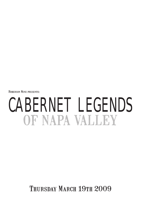Roberson Wine presents:

# CABERNET LEGENDS OF NAPA VALLEY

THURSDAY MARCH 19TH 2009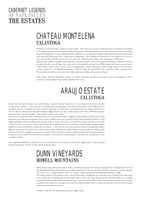#### CABERNET LEGENDS OF NAPA VALLE THE ESTATES

# CHATEAU MONTELENA CALISTOGA

Montelena is well and truly a member of Napa royalty - this status was assured in 1976 when their Chardonnay triumphed at the 1976 judgement of Paris tasting, beating a host of great white Burgundies to first place. Recent times have seen plenty of upheaval behind the scenes as Michel Reybier of Bordeaux's Cos d'Estournel almost completed the purchase of the estate before the deal fell through due to undisclosed 'complications'. The will-they-sell wont-they-sell saga appears to be over for now, with the Barrett family (owners since the early '70s) redoubling their efforts and commitment to Montelena.

Although their modern reputation (internationally, at least) was built on the success of their Chardonnay, Montelena has been recognised locally as one of Napa's best estates since it was founded way back in the 1880s. Despite their local renown it wasn't until the Barrett family came on to the scene and replanted the vineyards that things really took off. Thank s to wise decisions in what rootstock s to use, Montelena managed to avoid the outbreak s of phylloxera that ravaged the valley's vineyards in the 80s and 90s. leaving them with some of the oldest plantings of Cabernet Sauvignon in Napa.

Robert Parker describes Montelena as being *"A Cabernet Sauvignon superhero for nearly 30 years!"* and tonight we will be tasting the stunning 1991 vintage of their flagship estate wine.

# ARAUJO ESTATE CALISTOGA

Araujo estate has spent the past two decades forging a reputation among connoisseurs as one of Napa's cult wineries., thank s to their Eisele vineyard, a spectacular site that yields fruit with prodigious concentration. The Eisele vineyard dates back to the 1880s when it was planted with white varieties, although even back then it was identified for the unique potential of its terroir. Cabernet Sauvignon was first planted back in 1964 and there are also a small amount of the other red Bordeaux grapes and some Syrah vines that produce a spectacular example of the variety.

The site got its name from Milt and Barbara Eisele, who purchased the land in 1969 and realised pretty quickly (with a little help from some well informed friends) that the fruit it yielded was of special quality. In 1971 they handed the produce to Paul Draper (of Ridge) and the resulting wine has gone down in history, not only as one of the first single vineyard cuvees made in Napa, but also as one of the region's finest wines. In the following years they sold some crops to Robert Mondavi before drafting in Conn Creek Winery to make the '74 vintage - a wine that also met with universal acclaim. From 1975 through to 1991 the Eisele fruit was turned into a string of spectacular Cabernets by Joseph Phelps and by the time the Araujo family purchased the estate in 1990 its reputation was assured. From their first vintage in '91 the Araujo Eisele Vineyard Cabernet has proven to be a world class wine that has regularly received scores as astronomical as the prices the wine fetches on the secondary market.

Since '99 Michel Rolland has joined the team as consultant, but this evening we will taste the 1998 vintage - a blend of 90% Cabernet Sauvignon, 7% Petit Verdot and 3% Cabernet Franc.

# DUNN VINEYARDS HOWELL MOUNTAINS

Randy Dunn began small and has slowly built a reputation for quality that began in 1979 with his enthusiastically received Howell Mountain Cabernet Sauvignon. Controlled expansion over the years has increased the vineyard area and the number of cuvees to two - a Napa Cabernet, which we will taste tonight, joined the Howell Mountain bottling in 1980.

The unique situation of the Dunn winery on Howell Mountain is manifested in a restrained style of Cabernet that takes many years to open up and demonstrate its full quality. This is due to the high elevation of the vineyards which are at 2000ft, meaning that they are often above the fog that hangs in that part of the valley. A long, cool growing season give fruit of amazing purity and consistency year after year, which has allowed Randy Dunn to cement his position as one of Napa's leading proponents of Cabernet Sauvignon.

Tonight we will taste the Napa bottling from the 1989 vintage.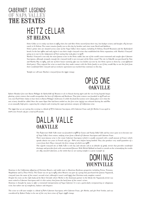#### CABERNET LEGENDS OF NAPA VALI THE ESTATES

# HEITZ cELLAR ST HELENA

Heitz Cellar as it is today was born in 1964 when Joe and Alice Heitz moved from their tiny, low-budget winery and bought a 65 hectare ranch in St Helena. The estate remains family run to this day by brother and sister team David and Kathleen.

Heitz's prime sites are situated across some of the Napa Valley's best regions, including St Helena, Howell Mountain and the Rutherford bench. In the late 1960s and early 1970s it was their single vineyard wines that established the Heitz reputation, with 'Martha's Vineyard' going on to star in the Judgement of Paris tasting that took place in 1976.

Martha's Vineyard is not only the most famous wine in the Heitz stable, but one of the world's most renowned and sought after Cabernet Sauvignons, although strangely enough the vineyard itself is not even part of the Heitz estate! The site in Oakville was purchased by Tom and Martha May in 1963, and one of their house warming gifts was two bottles of wine by Joe Heitz (given to them by a non-affiliated third party). They enjoyed the wine so much that they made contact with the Heitz family to see if they would like to use the fruit from their wonderful little vineyard and an exclusive agreement was reached that continues to this day.

Tonight we will taste Martha's vinevard from the 1000 vintage.

# OPUS ONE **OAKVILLE**

Robert Mondavi first met Baron Philippe de Rothschild (of Mouton et al) in Hawaii during 1970 and the two living legends began plotting a joint venture that would encapsulate the best of California and Bordeaux. That joint venture was founded in 1978 and our very own Paul Fisher claims to have been in Baron Philippe's bedroom (!) while the final discussions were taking place over what the new winery should be called. Once the name Opus One had been settled on, the first wine (1979) was released during the mid-80s at an unusually high price, capturing the zeitgeist and creating the super-premium category of Californian wine.

The 1990 that we are tasting this evening is a blend of 87% Cabernet Sauvignon, 10% Cabernet Franc and 3% Merlot. It was aged in 100% new French oak for a total of 18 months.

# DALLA VALLE **OAKVILLE**

The 8.5hectare Dalle Valle estate was founded in 1986 by Gustav and Naoko Dalla Valle and has since gone on to become one of Napa Valley's best estates, making wines from a blend of Cabernet Sauvignon and Cabernet Franc.

Their most famous wine is the estate Cabernet Sauvignon (which is usually seasoned with a small amount of Franc) which spends almost two years in French oak (50 - 60% new) before being bottled. They also produce very small quantities of a cuvee from their Maya vineyard, the first vintage of which was 1988.

The superb vineyard site at Dalla Valle is red clay and volcanic soil at an altitude of 400ft, terroir that provides wonderful drainage and provides fruit with concentrated flavours. With Michel Rolland on hand to consult on the winemaking the results are silky smooth Cabernets, as the 2000 that we are tasting tonight is a great example of.



Dominus is the Californian offspring of Christian Moueix, and stable mate to illustrious Bordeaux properties including Petrus, Trotanoy, Magdelaine and La Fleur Petrus. The Estate was set up in 1983 when Moueix was part of a group that purchased the famous Napanook vineyard (now the name of the estate's second wine), although it wasn't until 1995 that Christian took complete control.

Despite his roots on the right bank of the River Gironde where Merlot is the dominant partner in the blend, the Napanook terroir was more suited to Cabernet Sauvignon and it is this variety that forms the back bone of the estate's wines.

Dominus is thought by many to offer a restrained interpretation of Napa Cabernet. It is not a particularly overpowering or voluptuous wine, but rather one of complexity, balance and elegance.

The wine we will taste tonight is a blend of 82% Cabernet Sauvignon, 10% Cabernet Franc, 4% Merlot, and 4% Petit Verdot, and was considered by Robert Parker to be one of the very best wines of Napa's 1996 vintage.